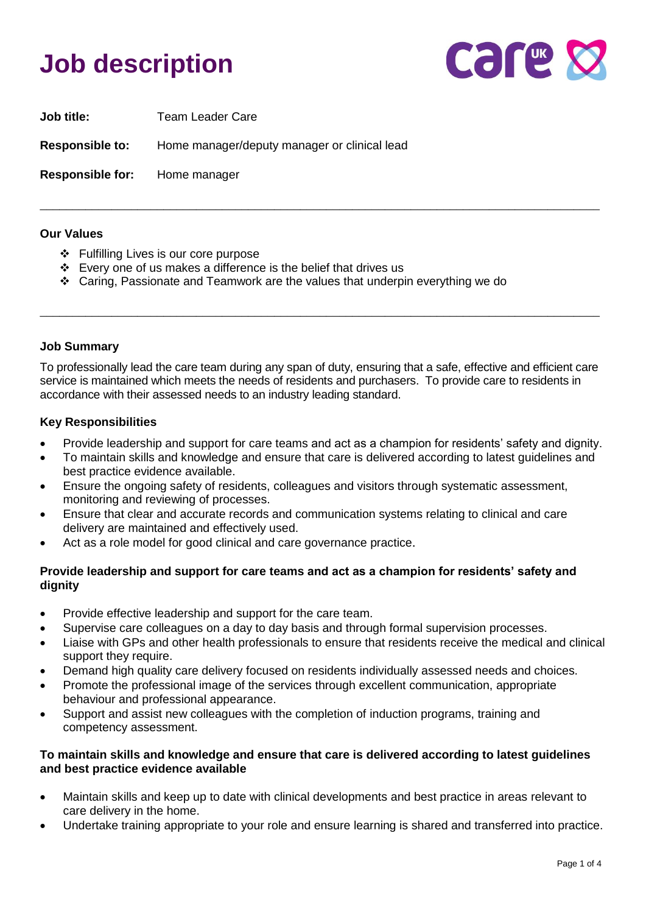## **Job description**



| <b>Job title:</b>       | <b>Team Leader Care</b>                      |
|-------------------------|----------------------------------------------|
| <b>Responsible to:</b>  | Home manager/deputy manager or clinical lead |
| <b>Responsible for:</b> | Home manager                                 |

#### **Our Values**

- ❖ Fulfilling Lives is our core purpose
- ❖ Every one of us makes a difference is the belief that drives us
- ❖ Caring, Passionate and Teamwork are the values that underpin everything we do

#### **Job Summary**

To professionally lead the care team during any span of duty, ensuring that a safe, effective and efficient care service is maintained which meets the needs of residents and purchasers. To provide care to residents in accordance with their assessed needs to an industry leading standard.

\_\_\_\_\_\_\_\_\_\_\_\_\_\_\_\_\_\_\_\_\_\_\_\_\_\_\_\_\_\_\_\_\_\_\_\_\_\_\_\_\_\_\_\_\_\_\_\_\_\_\_\_\_\_\_\_\_\_\_\_\_\_\_\_\_\_\_\_\_\_\_\_\_\_\_\_\_\_\_\_\_\_\_\_\_\_

\_\_\_\_\_\_\_\_\_\_\_\_\_\_\_\_\_\_\_\_\_\_\_\_\_\_\_\_\_\_\_\_\_\_\_\_\_\_\_\_\_\_\_\_\_\_\_\_\_\_\_\_\_\_\_\_\_\_\_\_\_\_\_\_\_\_\_\_\_\_\_\_\_\_\_\_\_\_\_\_\_\_\_\_\_\_

#### **Key Responsibilities**

- Provide leadership and support for care teams and act as a champion for residents' safety and dignity.
- To maintain skills and knowledge and ensure that care is delivered according to latest guidelines and best practice evidence available.
- Ensure the ongoing safety of residents, colleagues and visitors through systematic assessment, monitoring and reviewing of processes.
- Ensure that clear and accurate records and communication systems relating to clinical and care delivery are maintained and effectively used.
- Act as a role model for good clinical and care governance practice.

#### **Provide leadership and support for care teams and act as a champion for residents' safety and dignity**

- Provide effective leadership and support for the care team.
- Supervise care colleagues on a day to day basis and through formal supervision processes.
- Liaise with GPs and other health professionals to ensure that residents receive the medical and clinical support they require.
- Demand high quality care delivery focused on residents individually assessed needs and choices.
- Promote the professional image of the services through excellent communication, appropriate behaviour and professional appearance.
- Support and assist new colleagues with the completion of induction programs, training and competency assessment.

#### **To maintain skills and knowledge and ensure that care is delivered according to latest guidelines and best practice evidence available**

- Maintain skills and keep up to date with clinical developments and best practice in areas relevant to care delivery in the home.
- Undertake training appropriate to your role and ensure learning is shared and transferred into practice.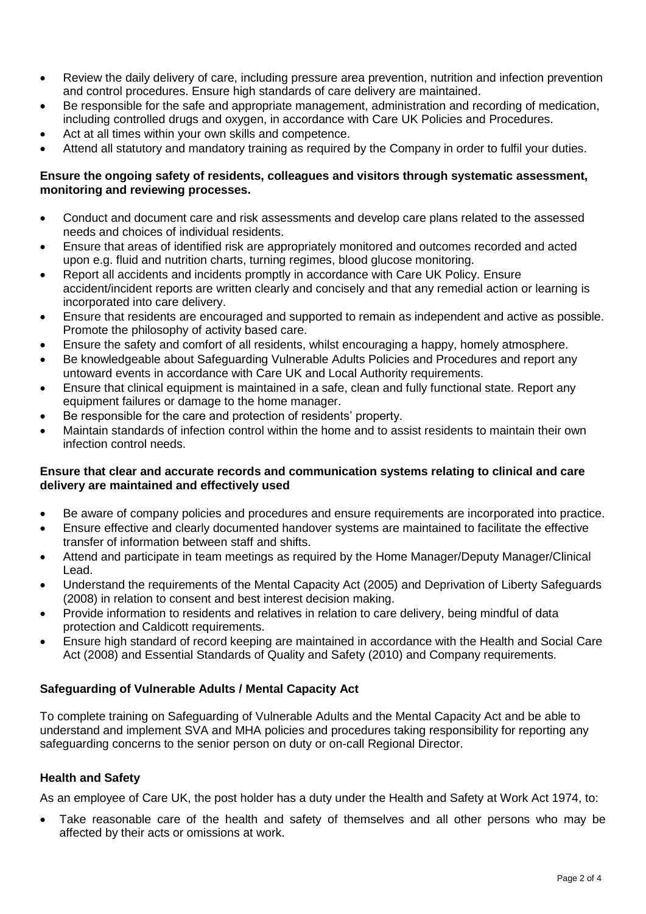- Review the daily delivery of care, including pressure area prevention, nutrition and infection prevention and control procedures. Ensure high standards of care delivery are maintained.
- Be responsible for the safe and appropriate management, administration and recording of medication, including controlled drugs and oxygen, in accordance with Care UK Policies and Procedures.
- Act at all times within your own skills and competence.
- Attend all statutory and mandatory training as required by the Company in order to fulfil your duties.

#### **Ensure the ongoing safety of residents, colleagues and visitors through systematic assessment, monitoring and reviewing processes.**

- Conduct and document care and risk assessments and develop care plans related to the assessed needs and choices of individual residents.
- Ensure that areas of identified risk are appropriately monitored and outcomes recorded and acted upon e.g. fluid and nutrition charts, turning regimes, blood glucose monitoring.
- Report all accidents and incidents promptly in accordance with Care UK Policy. Ensure accident/incident reports are written clearly and concisely and that any remedial action or learning is incorporated into care delivery.
- Ensure that residents are encouraged and supported to remain as independent and active as possible. Promote the philosophy of activity based care.
- Ensure the safety and comfort of all residents, whilst encouraging a happy, homely atmosphere.
- Be knowledgeable about Safeguarding Vulnerable Adults Policies and Procedures and report any untoward events in accordance with Care UK and Local Authority requirements.
- Ensure that clinical equipment is maintained in a safe, clean and fully functional state. Report any equipment failures or damage to the home manager.
- Be responsible for the care and protection of residents' property.
- Maintain standards of infection control within the home and to assist residents to maintain their own infection control needs.

#### **Ensure that clear and accurate records and communication systems relating to clinical and care delivery are maintained and effectively used**

- Be aware of company policies and procedures and ensure requirements are incorporated into practice.
- Ensure effective and clearly documented handover systems are maintained to facilitate the effective transfer of information between staff and shifts.
- Attend and participate in team meetings as required by the Home Manager/Deputy Manager/Clinical Lead.
- Understand the requirements of the Mental Capacity Act (2005) and Deprivation of Liberty Safeguards (2008) in relation to consent and best interest decision making.
- Provide information to residents and relatives in relation to care delivery, being mindful of data protection and Caldicott requirements.
- Ensure high standard of record keeping are maintained in accordance with the Health and Social Care Act (2008) and Essential Standards of Quality and Safety (2010) and Company requirements.

### **Safeguarding of Vulnerable Adults / Mental Capacity Act**

To complete training on Safeguarding of Vulnerable Adults and the Mental Capacity Act and be able to understand and implement SVA and MHA policies and procedures taking responsibility for reporting any safeguarding concerns to the senior person on duty or on-call Regional Director.

#### **Health and Safety**

As an employee of Care UK, the post holder has a duty under the Health and Safety at Work Act 1974, to:

• Take reasonable care of the health and safety of themselves and all other persons who may be affected by their acts or omissions at work.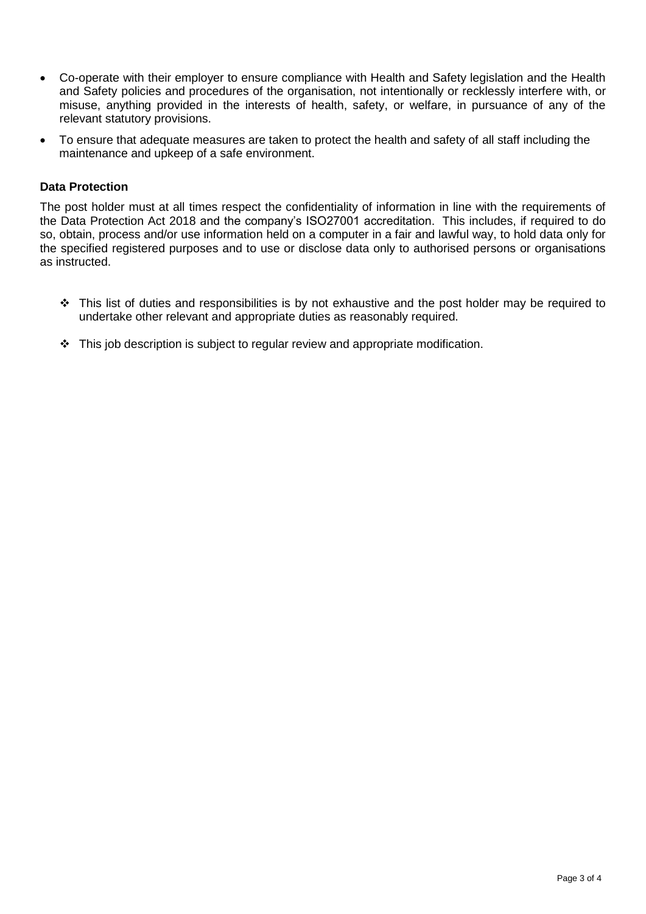- Co-operate with their employer to ensure compliance with Health and Safety legislation and the Health and Safety policies and procedures of the organisation, not intentionally or recklessly interfere with, or misuse, anything provided in the interests of health, safety, or welfare, in pursuance of any of the relevant statutory provisions.
- To ensure that adequate measures are taken to protect the health and safety of all staff including the maintenance and upkeep of a safe environment.

#### **Data Protection**

The post holder must at all times respect the confidentiality of information in line with the requirements of the Data Protection Act 2018 and the company's ISO27001 accreditation. This includes, if required to do so, obtain, process and/or use information held on a computer in a fair and lawful way, to hold data only for the specified registered purposes and to use or disclose data only to authorised persons or organisations as instructed.

- ❖ This list of duties and responsibilities is by not exhaustive and the post holder may be required to undertake other relevant and appropriate duties as reasonably required.
- ❖ This job description is subject to regular review and appropriate modification.